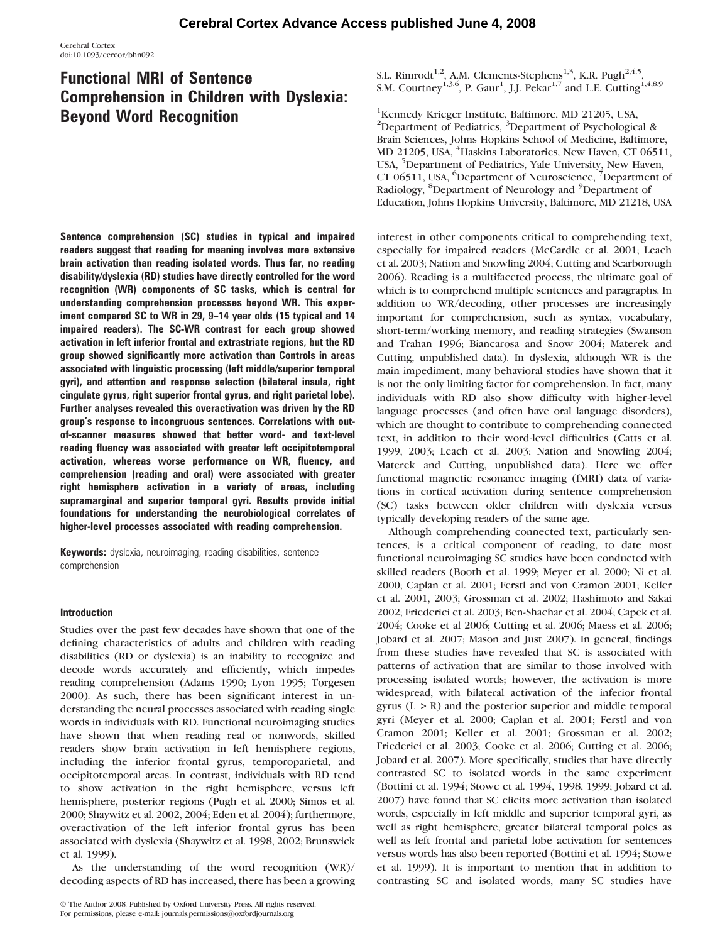Cerebral Cortex doi:10.1093/cercor/bhn092

# Functional MRI of Sentence Comprehension in Children with Dyslexia: Beyond Word Recognition

Sentence comprehension (SC) studies in typical and impaired readers suggest that reading for meaning involves more extensive brain activation than reading isolated words. Thus far, no reading disability/dyslexia (RD) studies have directly controlled for the word recognition (WR) components of SC tasks, which is central for understanding comprehension processes beyond WR. This experiment compared SC to WR in 29, 9-14 year olds (15 typical and 14 impaired readers). The SC-WR contrast for each group showed activation in left inferior frontal and extrastriate regions, but the RD group showed significantly more activation than Controls in areas associated with linguistic processing (left middle/superior temporal gyri), and attention and response selection (bilateral insula, right cingulate gyrus, right superior frontal gyrus, and right parietal lobe). Further analyses revealed this overactivation was driven by the RD group's response to incongruous sentences. Correlations with outof-scanner measures showed that better word- and text-level reading fluency was associated with greater left occipitotemporal activation, whereas worse performance on WR, fluency, and comprehension (reading and oral) were associated with greater right hemisphere activation in a variety of areas, including supramarginal and superior temporal gyri. Results provide initial foundations for understanding the neurobiological correlates of higher-level processes associated with reading comprehension.

Keywords: dyslexia, neuroimaging, reading disabilities, sentence comprehension

# Introduction

Studies over the past few decades have shown that one of the defining characteristics of adults and children with reading disabilities (RD or dyslexia) is an inability to recognize and decode words accurately and efficiently, which impedes reading comprehension (Adams 1990; Lyon 1995; Torgesen 2000). As such, there has been significant interest in understanding the neural processes associated with reading single words in individuals with RD. Functional neuroimaging studies have shown that when reading real or nonwords, skilled readers show brain activation in left hemisphere regions, including the inferior frontal gyrus, temporoparietal, and occipitotemporal areas. In contrast, individuals with RD tend to show activation in the right hemisphere, versus left hemisphere, posterior regions (Pugh et al. 2000; Simos et al. 2000; Shaywitz et al. 2002, 2004; Eden et al. 2004); furthermore, overactivation of the left inferior frontal gyrus has been associated with dyslexia (Shaywitz et al. 1998, 2002; Brunswick et al. 1999).

As the understanding of the word recognition (WR)/ decoding aspects of RD has increased, there has been a growing

 $©$  The Author 2008. Published by Oxford University Press. All rights reserved. For permissions, please e-mail: journals.permissions@oxfordjournals.org

S.L. Rimrodt<sup>1,2</sup>, A.M. Clements-Stephens<sup>1,3</sup>, K.R. Pugh<sup>2,4,5</sup>, S.M. Courtney<sup>1,3,6</sup>, P. Gaur<sup>1</sup>, J.J. Pekar<sup>1,7</sup> and L.E. Cutting<sup>1,4,8,9</sup>

1 Kennedy Krieger Institute, Baltimore, MD 21205, USA, <sup>2</sup>Department of Pediatrics, <sup>3</sup>Department of Psychological & Brain Sciences, Johns Hopkins School of Medicine, Baltimore, MD 21205, USA, <sup>4</sup>Haskins Laboratories, New Haven, CT 06511, USA, <sup>5</sup>Department of Pediatrics, Yale University, New Haven, CT 06511, USA, <sup>6</sup>Department of Neuroscience, <sup>7</sup>Department of Radiology, <sup>8</sup>Department of Neurology and <sup>9</sup>Department of Education, Johns Hopkins University, Baltimore, MD 21218, USA

interest in other components critical to comprehending text, especially for impaired readers (McCardle et al. 2001; Leach et al. 2003; Nation and Snowling 2004; Cutting and Scarborough 2006). Reading is a multifaceted process, the ultimate goal of which is to comprehend multiple sentences and paragraphs. In addition to WR/decoding, other processes are increasingly important for comprehension, such as syntax, vocabulary, short-term/working memory, and reading strategies (Swanson and Trahan 1996; Biancarosa and Snow 2004; Materek and Cutting, unpublished data). In dyslexia, although WR is the main impediment, many behavioral studies have shown that it is not the only limiting factor for comprehension. In fact, many individuals with RD also show difficulty with higher-level language processes (and often have oral language disorders), which are thought to contribute to comprehending connected text, in addition to their word-level difficulties (Catts et al. 1999, 2003; Leach et al. 2003; Nation and Snowling 2004; Materek and Cutting, unpublished data). Here we offer functional magnetic resonance imaging (fMRI) data of variations in cortical activation during sentence comprehension (SC) tasks between older children with dyslexia versus typically developing readers of the same age.

Although comprehending connected text, particularly sentences, is a critical component of reading, to date most functional neuroimaging SC studies have been conducted with skilled readers (Booth et al. 1999; Meyer et al. 2000; Ni et al. 2000; Caplan et al. 2001; Ferstl and von Cramon 2001; Keller et al. 2001, 2003; Grossman et al. 2002; Hashimoto and Sakai 2002; Friederici et al. 2003; Ben-Shachar et al. 2004; Capek et al. 2004; Cooke et al 2006; Cutting et al. 2006; Maess et al. 2006; Jobard et al. 2007; Mason and Just 2007). In general, findings from these studies have revealed that SC is associated with patterns of activation that are similar to those involved with processing isolated words; however, the activation is more widespread, with bilateral activation of the inferior frontal gyrus  $(L > R)$  and the posterior superior and middle temporal gyri (Meyer et al. 2000; Caplan et al. 2001; Ferstl and von Cramon 2001; Keller et al. 2001; Grossman et al. 2002; Friederici et al. 2003; Cooke et al. 2006; Cutting et al. 2006; Jobard et al. 2007). More specifically, studies that have directly contrasted SC to isolated words in the same experiment (Bottini et al. 1994; Stowe et al. 1994, 1998, 1999; Jobard et al. 2007) have found that SC elicits more activation than isolated words, especially in left middle and superior temporal gyri, as well as right hemisphere; greater bilateral temporal poles as well as left frontal and parietal lobe activation for sentences versus words has also been reported (Bottini et al. 1994; Stowe et al. 1999). It is important to mention that in addition to contrasting SC and isolated words, many SC studies have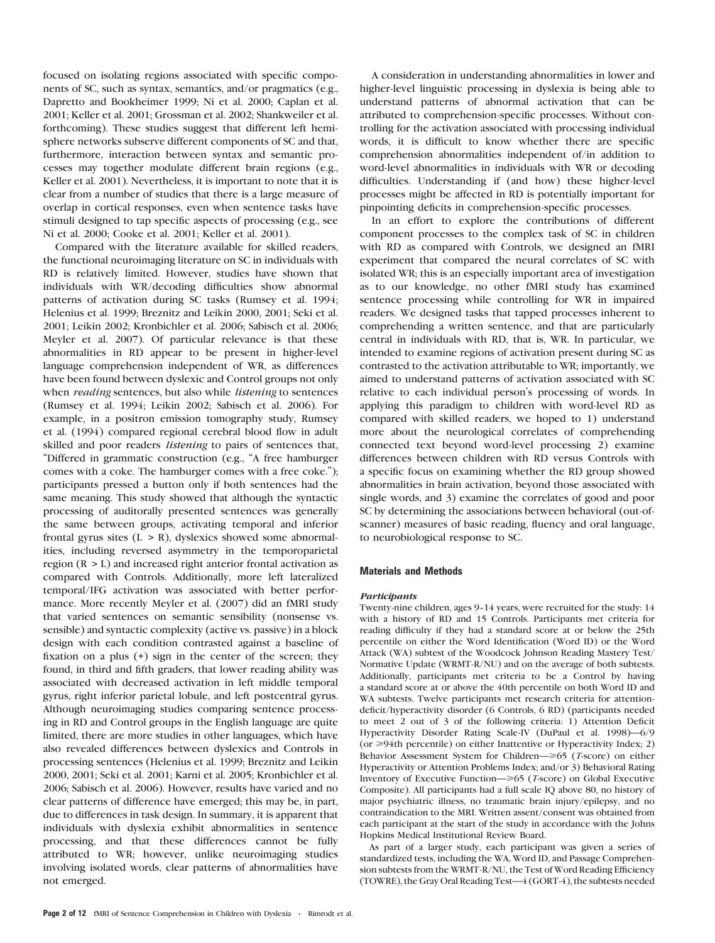focused on isolating regions associated with specific components of SC, such as syntax, semantics, and/or pragmatics (e.g., Dapretto and Bookheimer 1999; Ni et al. 2000; Caplan et al. 2001; Keller et al. 2001; Grossman et al. 2002; Shankweiler et al. forthcoming). These studies suggest that different left hemisphere networks subserve different components of SC and that, furthermore, interaction between syntax and semantic processes may together modulate different brain regions (e.g., Keller et al. 2001). Nevertheless, it is important to note that it is clear from a number of studies that there is a large measure of overlap in cortical responses, even when sentence tasks have stimuli designed to tap specific aspects of processing (e.g., see Ni et al. 2000; Cooke et al. 2001; Keller et al. 2001).

Compared with the literature available for skilled readers, the functional neuroimaging literature on SC in individuals with RD is relatively limited. However, studies have shown that individuals with WR/decoding difficulties show abnormal patterns of activation during SC tasks (Rumsey et al. 1994; Helenius et al. 1999; Breznitz and Leikin 2000, 2001; Seki et al. 2001; Leikin 2002; Kronbichler et al. 2006; Sabisch et al. 2006; Meyler et al. 2007). Of particular relevance is that these abnormalities in RD appear to be present in higher-level language comprehension independent of WR, as differences have been found between dyslexic and Control groups not only when *reading* sentences, but also while *listening* to sentences (Rumsey et al. 1994; Leikin 2002; Sabisch et al. 2006). For example, in a positron emission tomography study, Rumsey et al. (1994) compared regional cerebral blood flow in adult skilled and poor readers listening to pairs of sentences that, ''Differed in grammatic construction (e.g., ''A free hamburger comes with a coke. The hamburger comes with a free coke.''); participants pressed a button only if both sentences had the same meaning. This study showed that although the syntactic processing of auditorally presented sentences was generally the same between groups, activating temporal and inferior frontal gyrus sites  $(L > R)$ , dyslexics showed some abnormalities, including reversed asymmetry in the temporoparietal region  $(R > L)$  and increased right anterior frontal activation as compared with Controls. Additionally, more left lateralized temporal/IFG activation was associated with better performance. More recently Meyler et al. (2007) did an fMRI study that varied sentences on semantic sensibility (nonsense vs. sensible) and syntactic complexity (active vs. passive) in a block design with each condition contrasted against a baseline of fixation on a plus (+) sign in the center of the screen; they found, in third and fifth graders, that lower reading ability was associated with decreased activation in left middle temporal gyrus, right inferior parietal lobule, and left postcentral gyrus. Although neuroimaging studies comparing sentence processing in RD and Control groups in the English language are quite limited, there are more studies in other languages, which have also revealed differences between dyslexics and Controls in processing sentences (Helenius et al. 1999; Breznitz and Leikin 2000, 2001; Seki et al. 2001; Karni et al. 2005; Kronbichler et al. 2006; Sabisch et al. 2006). However, results have varied and no clear patterns of difference have emerged; this may be, in part, due to differences in task design. In summary, it is apparent that individuals with dyslexia exhibit abnormalities in sentence processing, and that these differences cannot be fully attributed to WR; however, unlike neuroimaging studies involving isolated words, clear patterns of abnormalities have not emerged.

A consideration in understanding abnormalities in lower and higher-level linguistic processing in dyslexia is being able to understand patterns of abnormal activation that can be attributed to comprehension-specific processes. Without controlling for the activation associated with processing individual words, it is difficult to know whether there are specific comprehension abnormalities independent of/in addition to word-level abnormalities in individuals with WR or decoding difficulties. Understanding if (and how) these higher-level processes might be affected in RD is potentially important for pinpointing deficits in comprehension-specific processes.

In an effort to explore the contributions of different component processes to the complex task of SC in children with RD as compared with Controls, we designed an fMRI experiment that compared the neural correlates of SC with isolated WR; this is an especially important area of investigation as to our knowledge, no other fMRI study has examined sentence processing while controlling for WR in impaired readers. We designed tasks that tapped processes inherent to comprehending a written sentence, and that are particularly central in individuals with RD, that is, WR. In particular, we intended to examine regions of activation present during SC as contrasted to the activation attributable to WR; importantly, we aimed to understand patterns of activation associated with SC relative to each individual person's processing of words. In applying this paradigm to children with word-level RD as compared with skilled readers, we hoped to 1) understand more about the neurological correlates of comprehending connected text beyond word-level processing 2) examine differences between children with RD versus Controls with a specific focus on examining whether the RD group showed abnormalities in brain activation, beyond those associated with single words, and 3) examine the correlates of good and poor SC by determining the associations between behavioral (out-ofscanner) measures of basic reading, fluency and oral language, to neurobiological response to SC.

## Materials and Methods

## **Participants**

Twenty-nine children, ages 9-14 years, were recruited for the study: 14 with a history of RD and 15 Controls. Participants met criteria for reading difficulty if they had a standard score at or below the 25th percentile on either the Word Identification (Word ID) or the Word Attack (WA) subtest of the Woodcock Johnson Reading Mastery Test/ Normative Update (WRMT-R/NU) and on the average of both subtests. Additionally, participants met criteria to be a Control by having a standard score at or above the 40th percentile on both Word ID and WA subtests. Twelve participants met research criteria for attentiondeficit/hyperactivity disorder (6 Controls, 6 RD) (participants needed to meet 2 out of 3 of the following criteria: 1) Attention Deficit Hyperactivity Disorder Rating Scale-IV (DuPaul et al. 1998)—6/9 (or  $\geq 94$ th percentile) on either Inattentive or Hyperactivity Index; 2) Behavior Assessment System for Children— $\geq 65$  (*T*-score) on either Hyperactivity or Attention Problems Index; and/or 3) Behavioral Rating Inventory of Executive Function— $\geq 65$  (*T*-score) on Global Executive Composite). All participants had a full scale IQ above 80, no history of major psychiatric illness, no traumatic brain injury/epilepsy, and no contraindication to the MRI. Written assent/consent was obtained from each participant at the start of the study in accordance with the Johns Hopkins Medical Institutional Review Board.

As part of a larger study, each participant was given a series of standardized tests, including the WA, Word ID, and Passage Comprehension subtests from the WRMT-R/NU, the Test of Word Reading Efficiency (TOWRE), the Gray Oral Reading Test—4 (GORT-4), the subtests needed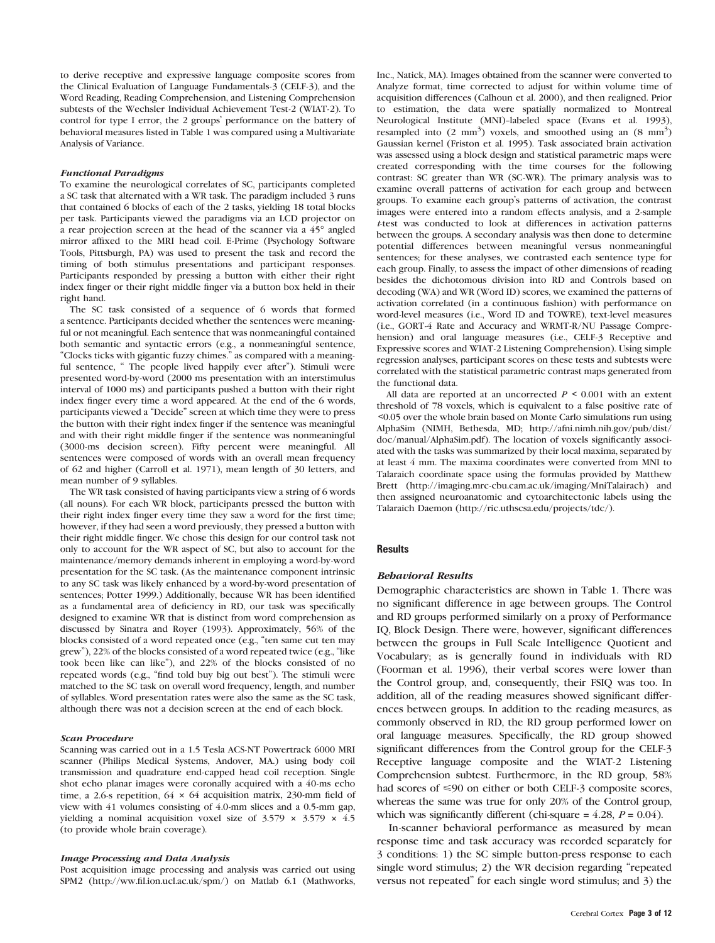to derive receptive and expressive language composite scores from the Clinical Evaluation of Language Fundamentals-3 (CELF-3), and the Word Reading, Reading Comprehension, and Listening Comprehension subtests of the Wechsler Individual Achievement Test-2 (WIAT-2). To control for type I error, the 2 groups' performance on the battery of behavioral measures listed in Table 1 was compared using a Multivariate Analysis of Variance.

#### Functional Paradigms

To examine the neurological correlates of SC, participants completed a SC task that alternated with a WR task. The paradigm included 3 runs that contained 6 blocks of each of the 2 tasks, yielding 18 total blocks per task. Participants viewed the paradigms via an LCD projector on a rear projection screen at the head of the scanner via a 45° angled mirror affixed to the MRI head coil. E-Prime (Psychology Software Tools, Pittsburgh, PA) was used to present the task and record the timing of both stimulus presentations and participant responses. Participants responded by pressing a button with either their right index finger or their right middle finger via a button box held in their right hand.

The SC task consisted of a sequence of 6 words that formed a sentence. Participants decided whether the sentences were meaningful or not meaningful. Each sentence that was nonmeaningful contained both semantic and syntactic errors (e.g., a nonmeaningful sentence, ''Clocks ticks with gigantic fuzzy chimes.'' as compared with a meaningful sentence, '' The people lived happily ever after''). Stimuli were presented word-by-word (2000 ms presentation with an interstimulus interval of 1000 ms) and participants pushed a button with their right index finger every time a word appeared. At the end of the 6 words, participants viewed a ''Decide'' screen at which time they were to press the button with their right index finger if the sentence was meaningful and with their right middle finger if the sentence was nonmeaningful (3000-ms decision screen). Fifty percent were meaningful. All sentences were composed of words with an overall mean frequency of 62 and higher (Carroll et al. 1971), mean length of 30 letters, and mean number of 9 syllables.

The WR task consisted of having participants view a string of 6 words (all nouns). For each WR block, participants pressed the button with their right index finger every time they saw a word for the first time; however, if they had seen a word previously, they pressed a button with their right middle finger. We chose this design for our control task not only to account for the WR aspect of SC, but also to account for the maintenance/memory demands inherent in employing a word-by-word presentation for the SC task. (As the maintenance component intrinsic to any SC task was likely enhanced by a word-by-word presentation of sentences; Potter 1999.) Additionally, because WR has been identified as a fundamental area of deficiency in RD, our task was specifically designed to examine WR that is distinct from word comprehension as discussed by Sinatra and Royer (1993). Approximately, 56% of the blocks consisted of a word repeated once (e.g., "ten same cut ten may grew"), 22% of the blocks consisted of a word repeated twice (e.g., "like took been like can like''), and 22% of the blocks consisted of no repeated words (e.g., ''find told buy big out best''). The stimuli were matched to the SC task on overall word frequency, length, and number of syllables. Word presentation rates were also the same as the SC task, although there was not a decision screen at the end of each block.

#### Scan Procedure

Scanning was carried out in a 1.5 Tesla ACS-NT Powertrack 6000 MRI scanner (Philips Medical Systems, Andover, MA.) using body coil transmission and quadrature end-capped head coil reception. Single shot echo planar images were coronally acquired with a 40-ms echo time, a 2.6-s repetition,  $64 \times 64$  acquisition matrix, 230-mm field of view with 41 volumes consisting of 4.0-mm slices and a 0.5-mm gap, yielding a nominal acquisition voxel size of  $3.579 \times 3.579 \times 4.5$ (to provide whole brain coverage).

## Image Processing and Data Analysis

Post acquisition image processing and analysis was carried out using SPM2 ([http://ww.fil.ion.ucl.ac.uk/spm/\)](http://ww.fil.ion.ucl.ac.uk/spm/) on Matlab 6.1 (Mathworks, Inc., Natick, MA). Images obtained from the scanner were converted to Analyze format, time corrected to adjust for within volume time of acquisition differences (Calhoun et al. 2000), and then realigned. Prior to estimation, the data were spatially normalized to Montreal Neurological Institute (MNI)-labeled space (Evans et al. 1993), resampled into  $(2 \text{ mm}^3)$  voxels, and smoothed using an  $(8 \text{ mm}^3)$ Gaussian kernel (Friston et al. 1995). Task associated brain activation was assessed using a block design and statistical parametric maps were created corresponding with the time courses for the following contrast: SC greater than WR (SC-WR). The primary analysis was to examine overall patterns of activation for each group and between groups. To examine each group's patterns of activation, the contrast images were entered into a random effects analysis, and a 2-sample t-test was conducted to look at differences in activation patterns between the groups. A secondary analysis was then done to determine potential differences between meaningful versus nonmeaningful sentences; for these analyses, we contrasted each sentence type for each group. Finally, to assess the impact of other dimensions of reading besides the dichotomous division into RD and Controls based on decoding (WA) and WR (Word ID) scores, we examined the patterns of activation correlated (in a continuous fashion) with performance on word-level measures (i.e., Word ID and TOWRE), text-level measures (i.e., GORT-4 Rate and Accuracy and WRMT-R/NU Passage Comprehension) and oral language measures (i.e., CELF-3 Receptive and Expressive scores and WIAT-2 Listening Comprehension). Using simple regression analyses, participant scores on these tests and subtests were correlated with the statistical parametric contrast maps generated from the functional data.

All data are reported at an uncorrected  $P \le 0.001$  with an extent threshold of 78 voxels, which is equivalent to a false positive rate of <0.05 over the whole brain based on Monte Carlo simulations run using AlphaSim (NIMH, Bethesda, MD; [http://afni.nimh.nih.gov/pub/dist/](http://afni.nimh.nih.gov/pub/dist/doc/manual/AlphaSim.pdf) [doc/manual/AlphaSim.pdf](http://afni.nimh.nih.gov/pub/dist/doc/manual/AlphaSim.pdf)). The location of voxels significantly associated with the tasks was summarized by their local maxima, separated by at least 4 mm. The maxima coordinates were converted from MNI to Talaraich coordinate space using the formulas provided by Matthew Brett [\(http://imaging.mrc-cbu.cam.ac.uk/imaging/MniTalairach](http://imaging.mrc-cbu.cam.ac.uk/imaging/MniTalairach)) and then assigned neuroanatomic and cytoarchitectonic labels using the Talaraich Daemon ([http://ric.uthscsa.edu/projects/tdc/\)](http://ric.uthscsa.edu/projects/tdc/).

## **Results**

## Behavioral Results

Demographic characteristics are shown in Table 1. There was no significant difference in age between groups. The Control and RD groups performed similarly on a proxy of Performance IQ, Block Design. There were, however, significant differences between the groups in Full Scale Intelligence Quotient and Vocabulary; as is generally found in individuals with RD (Foorman et al. 1996), their verbal scores were lower than the Control group, and, consequently, their FSIQ was too. In addition, all of the reading measures showed significant differences between groups. In addition to the reading measures, as commonly observed in RD, the RD group performed lower on oral language measures. Specifically, the RD group showed significant differences from the Control group for the CELF-3 Receptive language composite and the WIAT-2 Listening Comprehension subtest. Furthermore, in the RD group, 58% had scores of <90 on either or both CELF-3 composite scores, whereas the same was true for only 20% of the Control group, which was significantly different (chi-square =  $4.28$ ,  $P = 0.04$ ).

In-scanner behavioral performance as measured by mean response time and task accuracy was recorded separately for 3 conditions: 1) the SC simple button-press response to each single word stimulus; 2) the WR decision regarding "repeated versus not repeated'' for each single word stimulus; and 3) the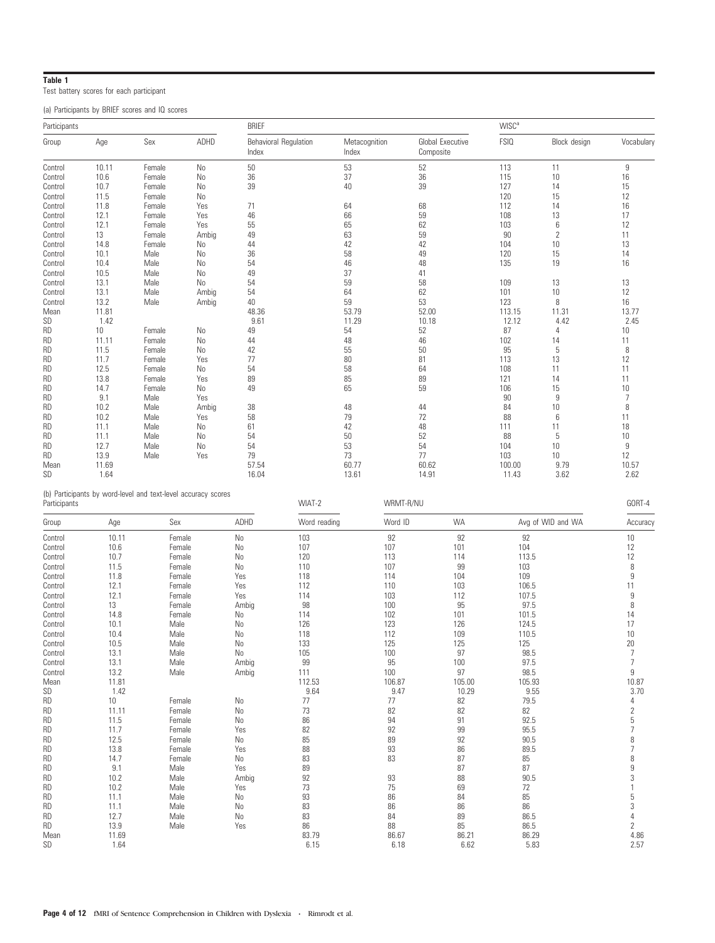Test battery scores for each participant

(a) Participants by BRIEF scores and IQ scores

| Participants |       |        | <b>BRIEF</b> | <b>WISC<sup>a</sup></b>               |                        |                               |             |                |                  |
|--------------|-------|--------|--------------|---------------------------------------|------------------------|-------------------------------|-------------|----------------|------------------|
| Group        | Age   | Sex    | ADHD         | <b>Behavioral Regulation</b><br>Index | Metacognition<br>Index | Global Executive<br>Composite | <b>FSIQ</b> | Block design   | Vocabulary       |
| Control      | 10.11 | Female | No           | 50                                    | 53                     | 52                            | 113         | 11             | 9                |
| Control      | 10.6  | Female | No           | $36\,$                                | 37                     | 36                            | 115         | 10             | 16               |
| Control      | 10.7  | Female | No           | 39                                    | 40                     | 39                            | 127         | 14             | 15               |
| Control      | 11.5  | Female | No           |                                       |                        |                               | 120         | 15             | 12               |
| Control      | 11.8  | Female | Yes          | 71                                    | 64                     | 68                            | 112         | 14             | 16               |
| Control      | 12.1  | Female | Yes          | 46                                    | 66                     | 59                            | 108         | 13             | 17               |
| Control      | 12.1  | Female | Yes          | 55                                    | 65                     | 62                            | 103         | 6              | 12               |
| Control      | 13    | Female | Ambig        | 49                                    | 63                     | 59                            | 90          | $\overline{2}$ | 11               |
| Control      | 14.8  | Female | No           | 44                                    | 42                     | 42                            | 104         | 10             | 13               |
| Control      | 10.1  | Male   | No           | 36                                    | 58                     | 49                            | 120         | 15             | 14               |
| Control      | 10.4  | Male   | No           | 54                                    | 46                     | 48                            | 135         | 19             | 16               |
| Control      | 10.5  | Male   | No           | 49                                    | 37                     | 41                            |             |                |                  |
| Control      | 13.1  | Male   | No           | 54                                    | 59                     | 58                            | 109         | 13             | 13               |
| Control      | 13.1  | Male   | Ambig        | 54                                    | 64                     | 62                            | 101         | 10             | 12               |
| Control      | 13.2  | Male   | Ambig        | 40                                    | 59                     | 53                            | 123         | 8              | 16               |
| Mean         | 11.81 |        |              | 48.36                                 | 53.79                  | 52.00                         | 113.15      | 11.31          | 13.77            |
| SD           | 1.42  |        |              | 9.61                                  | 11.29                  | 10.18                         | 12.12       | 4.42           | 2.45             |
| <b>RD</b>    | 10    | Female | No           | 49                                    | 54                     | 52                            | 87          | 4              | 10               |
| <b>RD</b>    | 11.11 | Female | No           | 44                                    | 48                     | 46                            | 102         | 14             | 11               |
| <b>RD</b>    | 11.5  | Female | No           | 42                                    | 55                     | 50                            | 95          | 5              | 8                |
| <b>RD</b>    | 11.7  | Female | Yes          | 77                                    | 80                     | 81                            | 113         | 13             | 12               |
| <b>RD</b>    | 12.5  | Female | No           | 54                                    | 58                     | 64                            | 108         | 11             | 11               |
| <b>RD</b>    | 13.8  | Female | Yes          | 89                                    | 85                     | 89                            | 121         | 14             | 11               |
| <b>RD</b>    | 14.7  | Female | No           | 49                                    | 65                     | 59                            | 106         | 15             | 10               |
| <b>RD</b>    | 9.1   | Male   | Yes          |                                       |                        |                               | $90\,$      | 9              | $\overline{7}$   |
| <b>RD</b>    | 10.2  | Male   | Ambig        | 38                                    | 48                     | 44                            | 84          | 10             | 8                |
| <b>RD</b>    | 10.2  | Male   | Yes          | 58                                    | 79                     | 72                            | 88          | 6              | 11               |
| <b>RD</b>    | 11.1  | Male   | No           | 61                                    | 42                     | 48                            | 111         | 11             | 18               |
| <b>RD</b>    | 11.1  | Male   | No           | 54                                    | 50                     | 52                            | 88          | 5              | 10               |
| <b>RD</b>    | 12.7  | Male   | No           | 54                                    | 53                     | 54                            | 104         | 10             | $\boldsymbol{9}$ |
| <b>RD</b>    | 13.9  | Male   | Yes          | 79                                    | 73                     | 77                            | 103         | 10             | 12               |
| Mean         | 11.69 |        |              | 57.54                                 | 60.77                  | 60.62                         | 100.00      | 9.79           | 10.57            |
| SD           | 1.64  |        |              | 16.04                                 | 13.61                  | 14.91                         | 11.43       | 3.62           | 2.62             |

# (b) Participants by word-level and text-level accuracy scores

| (b) Participants by word-level and text-level accuracy scores<br>Participants |       |        |                | WIAT-2       | WRMT-R/NU | GORT-4    |                   |                  |
|-------------------------------------------------------------------------------|-------|--------|----------------|--------------|-----------|-----------|-------------------|------------------|
| Group                                                                         | Age   | Sex    | ADHD           | Word reading | Word ID   | <b>WA</b> | Avg of WID and WA | Accuracy         |
| Control                                                                       | 10.11 | Female | No             | 103          | 92        | 92        | 92                | 10               |
| Control                                                                       | 10.6  | Female | No             | 107          | 107       | 101       | 104               | 12               |
| Control                                                                       | 10.7  | Female | N <sub>0</sub> | 120          | 113       | 114       | 113.5             | 12               |
| Control                                                                       | 11.5  | Female | No             | 110          | 107       | 99        | 103               | 8                |
| Control                                                                       | 11.8  | Female | Yes            | 118          | 114       | 104       | 109               | $\boldsymbol{9}$ |
| Control                                                                       | 12.1  | Female | Yes            | 112          | 110       | 103       | 106.5             | 11               |
| Control                                                                       | 12.1  | Female | Yes            | 114          | 103       | 112       | 107.5             | $\boldsymbol{9}$ |
| Control                                                                       | 13    | Female | Ambig          | 98           | 100       | 95        | 97.5              | 8                |
| Control                                                                       | 14.8  | Female | No             | 114          | 102       | 101       | 101.5             | 14               |
| Control                                                                       | 10.1  | Male   | N <sub>0</sub> | 126          | 123       | 126       | 124.5             | 17               |
| Control                                                                       | 10.4  | Male   | No             | 118          | 112       | 109       | 110.5             | 10               |
| Control                                                                       | 10.5  | Male   | N <sub>0</sub> | 133          | 125       | 125       | 125               | 20               |
| Control                                                                       | 13.1  | Male   | No             | 105          | 100       | 97        | 98.5              | $\overline{7}$   |
| Control                                                                       | 13.1  | Male   | Ambig          | 99           | 95        | 100       | 97.5              | $\overline{7}$   |
| Control                                                                       | 13.2  | Male   | Ambig          | 111          | 100       | 97        | 98.5              | 9                |
| Mean                                                                          | 11.81 |        |                | 112.53       | 106.87    | 105.00    | 105.93            | 10.87            |
| SD                                                                            | 1.42  |        |                | 9.64         | 9.47      | 10.29     | 9.55              | 3.70             |
| <b>RD</b>                                                                     | 10    | Female | No             | 77           | 77        | 82        | 79.5              | 4                |
| <b>RD</b>                                                                     | 11.11 | Female | N <sub>0</sub> | 73           | 82        | 82        | 82                | $\overline{c}$   |
| <b>RD</b>                                                                     | 11.5  | Female | N <sub>0</sub> | 86           | 94        | 91        | 92.5              | 5                |
| <b>RD</b>                                                                     | 11.7  | Female | Yes            | 82           | 92        | 99        | 95.5              | $\overline{7}$   |
| <b>RD</b>                                                                     | 12.5  | Female | No             | 85           | 89        | 92        | 90.5              | 8                |
| <b>RD</b>                                                                     | 13.8  | Female | Yes            | 88           | 93        | 86        | 89.5              | $\overline{7}$   |
| <b>RD</b>                                                                     | 14.7  | Female | No             | 83           | 83        | 87        | 85                | 8                |
| <b>RD</b>                                                                     | 9.1   | Male   | Yes            | 89           |           | 87        | 87                | 9                |
| <b>RD</b>                                                                     | 10.2  | Male   | Ambig          | 92           | 93        | 88        | 90.5              | 3                |
| <b>RD</b>                                                                     | 10.2  | Male   | Yes            | 73           | 75        | 69        | 72                |                  |
| <b>RD</b>                                                                     | 11.1  | Male   | No             | 93           | 86        | 84        | 85                | 5                |
| <b>RD</b>                                                                     | 11.1  | Male   | No             | 83           | 86        | 86        | 86                | 3                |
| <b>RD</b>                                                                     | 12.7  | Male   | No             | 83           | 84        | 89        | 86.5              |                  |
| <b>RD</b>                                                                     | 13.9  | Male   | Yes            | 86           | 88        | 85        | 86.5              | $\overline{2}$   |
| Mean                                                                          | 11.69 |        |                | 83.79        | 86.67     | 86.21     | 86.29             | 4.86             |
| <b>SD</b>                                                                     | 1.64  |        |                | 6.15         | 6.18      | 6.62      | 5.83              | 2.57             |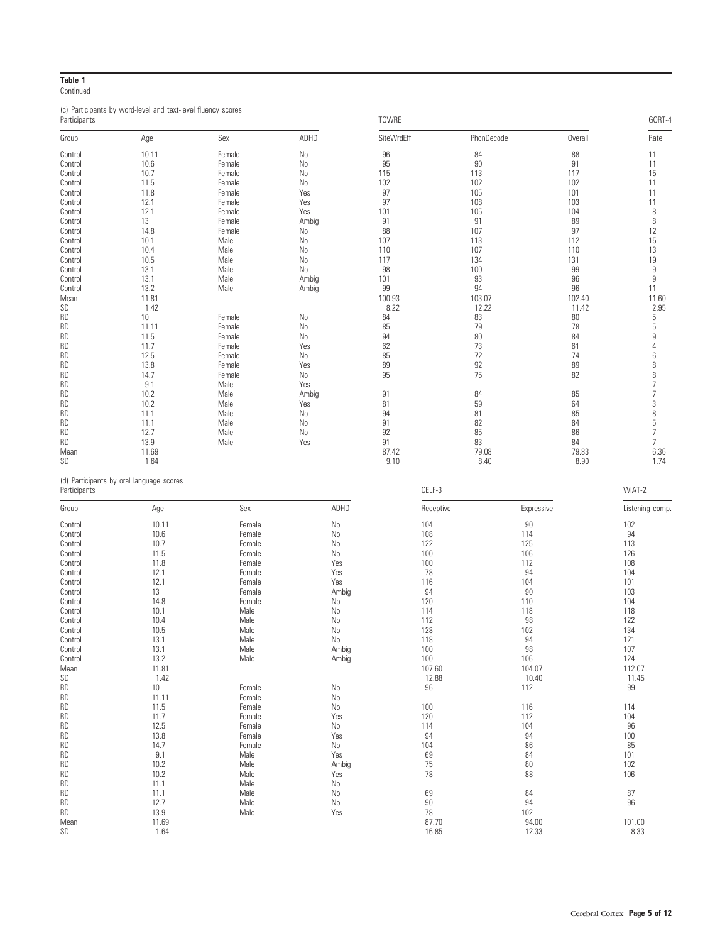Continued

(c) Participants by word-level and text-level fluency scores Participants TOWRE GORT-4

| Group     | Age   | Sex    | ADHD      | SiteWrdEff | PhonDecode | Overall | Rate             |  |
|-----------|-------|--------|-----------|------------|------------|---------|------------------|--|
| Control   | 10.11 | Female | No        | 96         | 84         | 88      | 11               |  |
| Control   | 10.6  | Female | No        | $95\,$     | 90         | 91      | 11               |  |
| Control   | 10.7  | Female | No        | 115        | 113        | 117     | 15               |  |
| Control   | 11.5  | Female | No        | 102        | 102        | 102     | 11               |  |
| Control   | 11.8  | Female | Yes       | 97         | 105        | 101     | 11               |  |
| Control   | 12.1  | Female | Yes       | 97         | 108        | 103     | 11               |  |
| Control   | 12.1  | Female | Yes       | 101        | 105        | 104     | 8                |  |
| Control   | 13    | Female | Ambig     | 91         | 91         | 89      | 8                |  |
| Control   | 14.8  | Female | No        | 88         | 107        | 97      | 12               |  |
| Control   | 10.1  | Male   | No        | 107        | 113        | 112     | 15               |  |
| Control   | 10.4  | Male   | No        | 110        | 107        | 110     | 13               |  |
| Control   | 10.5  | Male   | No        | 117        | 134        | 131     | 19               |  |
| Control   | 13.1  | Male   | <b>No</b> | 98         | 100        | 99      | 9                |  |
| Control   | 13.1  | Male   | Ambig     | 101        | 93         | 96      | $\boldsymbol{9}$ |  |
| Control   | 13.2  | Male   | Ambig     | 99         | 94         | 96      | 11               |  |
| Mean      | 11.81 |        |           | 100.93     | 103.07     | 102.40  | 11.60            |  |
| SD        | 1.42  |        |           | 8.22       | 12.22      | 11.42   | 2.95             |  |
| <b>RD</b> | 10    | Female | No        | 84         | 83         | 80      | 5                |  |
| <b>RD</b> | 11.11 | Female | No        | 85         | 79         | 78      | 5                |  |
| <b>RD</b> | 11.5  | Female | No        | 94         | 80         | 84      | 9                |  |
| <b>RD</b> | 11.7  | Female | Yes       | 62         | 73         | 61      |                  |  |
| <b>RD</b> | 12.5  | Female | No        | 85         | 72         | 74      | 6                |  |
| <b>RD</b> | 13.8  | Female | Yes       | 89         | 92         | 89      | 8                |  |
| <b>RD</b> | 14.7  | Female | No        | 95         | 75         | 82      | 8                |  |
| <b>RD</b> | 9.1   | Male   | Yes       |            |            |         |                  |  |
| <b>RD</b> | 10.2  | Male   | Ambig     | 91         | 84         | 85      | $\overline{7}$   |  |
| <b>RD</b> | 10.2  | Male   | Yes       | 81         | 59         | 64      | 3                |  |
| <b>RD</b> | 11.1  | Male   | No        | 94         | 81         | 85      | 8                |  |
| <b>RD</b> | 11.1  | Male   | No        | 91         | 82         | 84      | 5                |  |
| <b>RD</b> | 12.7  | Male   | No        | 92         | 85         | 86      | $\overline{7}$   |  |
| <b>RD</b> | 13.9  | Male   | Yes       | 91         | 83         | 84      | 7                |  |
| Mean      | 11.69 |        |           | 87.42      | 79.08      | 79.83   | 6.36             |  |
| SD        | 1.64  |        |           | 9.10       | 8.40       | 8.90    | 1.74             |  |

| Participants | (d) Participants by oral language scores |        |       | CELF-3    | WIAT-2     |                 |
|--------------|------------------------------------------|--------|-------|-----------|------------|-----------------|
| Group        | Age                                      | Sex    | ADHD  | Receptive | Expressive | Listening comp. |
| Control      | 10.11                                    | Female | No    | 104       | 90         | 102             |
| Control      | 10.6                                     | Female | No    | 108       | 114        | 94              |
| Control      | 10.7                                     | Female | No    | 122       | 125        | 113             |
| Control      | 11.5                                     | Female | No    | 100       | 106        | 126             |
| Control      | 11.8                                     | Female | Yes   | 100       | 112        | 108             |
| Control      | 12.1                                     | Female | Yes   | 78        | 94         | 104             |
| Control      | 12.1                                     | Female | Yes   | 116       | 104        | 101             |
| Control      | 13                                       | Female | Ambig | 94        | 90         | 103             |
| Control      | 14.8                                     | Female | No    | 120       | 110        | 104             |
| Control      | 10.1                                     | Male   | No    | 114       | 118        | 118             |
| Control      | 10.4                                     | Male   | No    | 112       | 98         | 122             |
| Control      | 10.5                                     | Male   | No    | 128       | 102        | 134             |
| Control      | 13.1                                     | Male   | No    | 118       | 94         | 121             |
| Control      | 13.1                                     | Male   | Ambig | 100       | 98         | 107             |
| Control      | 13.2                                     | Male   | Ambig | 100       | 106        | 124             |
| Mean         | 11.81                                    |        |       | 107.60    | 104.07     | 112.07          |
| SD           | 1.42                                     |        |       | 12.88     | 10.40      | 11.45           |
| <b>RD</b>    | 10                                       | Female | No    | 96        | 112        | 99              |
| <b>RD</b>    | 11.11                                    | Female | No    |           |            |                 |
| <b>RD</b>    | 11.5                                     | Female | No    | 100       | 116        | 114             |
| <b>RD</b>    | 11.7                                     | Female | Yes   | 120       | 112        | 104             |
| <b>RD</b>    | 12.5                                     | Female | No    | 114       | 104        | 96              |
| <b>RD</b>    | 13.8                                     | Female | Yes   | 94        | 94         | 100             |
| <b>RD</b>    | 14.7                                     | Female | No    | 104       | 86         | 85              |
| <b>RD</b>    | 9.1                                      | Male   | Yes   | 69        | 84         | 101             |
| <b>RD</b>    | 10.2                                     | Male   | Ambig | 75        | 80         | 102             |
| <b>RD</b>    | 10.2                                     | Male   | Yes   | 78        | 88         | 106             |
| <b>RD</b>    | 11.1                                     | Male   | No    |           |            |                 |
| <b>RD</b>    | 11.1                                     | Male   | No    | 69        | 84         | 87              |
| <b>RD</b>    | 12.7                                     | Male   | No    | 90        | 94         | 96              |
| <b>RD</b>    | 13.9                                     | Male   | Yes   | 78        | 102        |                 |
| Mean         | 11.69                                    |        |       | 87.70     | 94.00      | 101.00          |
| SD           | 1.64                                     |        |       | 16.85     | 12.33      | 8.33            |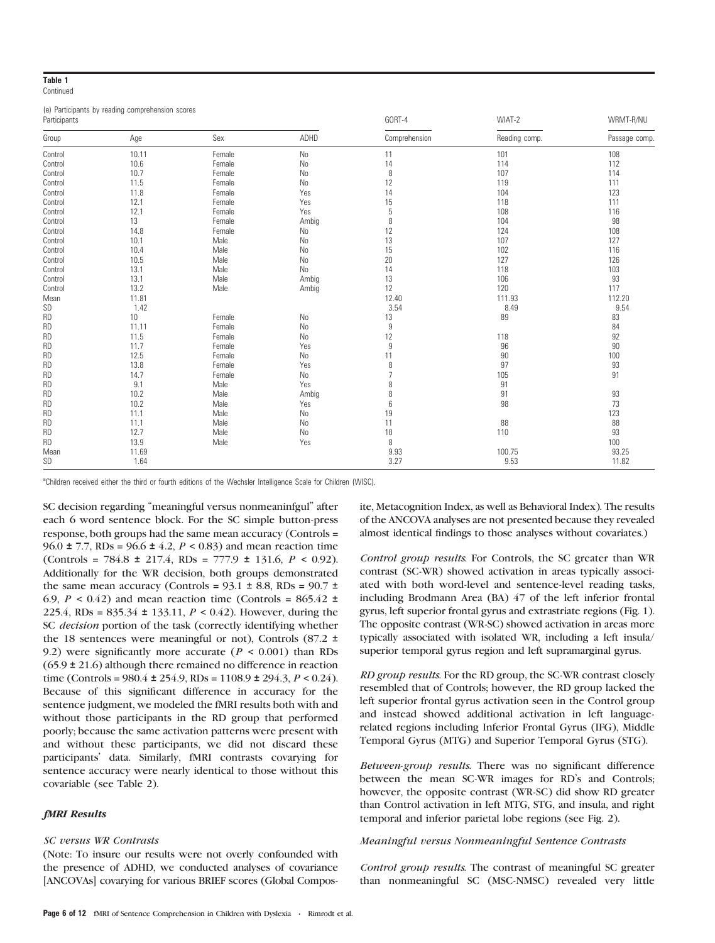(e) Participants by reading comprehension scores

| Participants |                 |        | GORT-4         | WIAT-2         | WRMT-R/NU     |               |
|--------------|-----------------|--------|----------------|----------------|---------------|---------------|
| Group        | Age             | Sex    | ADHD           | Comprehension  | Reading comp. | Passage comp. |
| Control      | 10.11           | Female | No             | 11             | 101           | 108           |
| Control      | 10.6            | Female | N <sub>0</sub> | 14             | 114           | 112           |
| Control      | 10.7            | Female | No             | 8              | 107           | 114           |
| Control      | 11.5            | Female | N <sub>0</sub> | 12             | 119           | 111           |
| Control      | 11.8            | Female | Yes            | 14             | 104           | 123           |
| Control      | 12.1            | Female | Yes            | 15             | 118           | 111           |
| Control      | 12.1            | Female | Yes            | 5              | 108           | 116           |
| Control      | 13              | Female | Ambig          | 8              | 104           | 98            |
| Control      | 14.8            | Female | N <sub>0</sub> | 12             | 124           | 108           |
| Control      | 10.1            | Male   | No             | 13             | 107           | 127           |
| Control      | 10.4            | Male   | No             | 15             | 102           | 116           |
| Control      | 10.5            | Male   | N <sub>0</sub> | 20             | 127           | 126           |
| Control      | 13.1            | Male   | No             | 14             | 118           | 103           |
| Control      | 13.1            | Male   | Ambig          | 13             | 106           | 93            |
| Control      | 13.2            | Male   | Ambig          | 12             | 120           | 117           |
| Mean         | 11.81           |        |                | 12.40          | 111.93        | 112.20        |
| SD           | 1.42            |        |                | 3.54           | 8.49          | 9.54          |
| <b>RD</b>    | 10 <sup>1</sup> | Female | No             | 13             | 89            | 83            |
| <b>RD</b>    | 11.11           | Female | N <sub>0</sub> | 9              |               | 84            |
| <b>RD</b>    | 11.5            | Female | No             | 12             | 118           | 92            |
| <b>RD</b>    | 11.7            | Female | Yes            | 9              | 96            | 90            |
| <b>RD</b>    | 12.5            | Female | No             | 11             | 90            | 100           |
| <b>RD</b>    | 13.8            | Female | Yes            | 8              | 97            | 93            |
| <b>RD</b>    | 14.7            | Female | No             | $\overline{7}$ | 105           | 91            |
| <b>RD</b>    | 9.1             | Male   | Yes            | 8              | 91            |               |
| <b>RD</b>    | 10.2            | Male   | Ambig          | 8              | 91            | 93            |
| <b>RD</b>    | 10.2            | Male   | Yes            | 6              | 98            | 73            |
| <b>RD</b>    | 11.1            | Male   | No             | 19             |               | 123           |
| <b>RD</b>    | 11.1            | Male   | N <sub>0</sub> | 11             | 88            | 88            |
| <b>RD</b>    | 12.7            | Male   | No             | 10             | 110           | 93            |
| <b>RD</b>    | 13.9            | Male   | Yes            | 8              |               | 100           |
| Mean         | 11.69           |        |                | 9.93           | 100.75        | 93.25         |
| SD           | 1.64            |        |                | 3.27           | 9.53          | 11.82         |

<sup>a</sup>Children received either the third or fourth editions of the Wechsler Intelligence Scale for Children (WISC).

SC decision regarding ''meaningful versus nonmeaninfgul'' after each 6 word sentence block. For the SC simple button-press response, both groups had the same mean accuracy (Controls = 96.0  $\pm$  7.7, RDs = 96.6  $\pm$  4.2, *P* < 0.83) and mean reaction time (Controls = 784.8  $\pm$  217.4, RDs = 777.9  $\pm$  131.6,  $P < 0.92$ ). Additionally for the WR decision, both groups demonstrated the same mean accuracy (Controls =  $93.1 \pm 8.8$ , RDs =  $90.7 \pm$ 6.9,  $P < 0.42$ ) and mean reaction time (Controls = 865.42  $\pm$ 225.4, RDs =  $835.34 \pm 133.11$ ,  $P < 0.42$ ). However, during the SC *decision* portion of the task (correctly identifying whether the 18 sentences were meaningful or not), Controls (87.2 ± 9.2) were significantly more accurate ( $P < 0.001$ ) than RDs  $(65.9 \pm 21.6)$  although there remained no difference in reaction time (Controls =  $980.4 \pm 254.9$ , RDs =  $1108.9 \pm 294.3$ ,  $P < 0.24$ ). Because of this significant difference in accuracy for the sentence judgment, we modeled the fMRI results both with and without those participants in the RD group that performed poorly; because the same activation patterns were present with and without these participants, we did not discard these participants' data. Similarly, fMRI contrasts covarying for sentence accuracy were nearly identical to those without this covariable (see Table 2).

# fMRI Results

# SC versus WR Contrasts

(Note: To insure our results were not overly confounded with the presence of ADHD, we conducted analyses of covariance [ANCOVAs] covarying for various BRIEF scores (Global Composite, Metacognition Index, as well as Behavioral Index). The results of the ANCOVA analyses are not presented because they revealed almost identical findings to those analyses without covariates.)

Control group results. For Controls, the SC greater than WR contrast (SC-WR) showed activation in areas typically associated with both word-level and sentence-level reading tasks, including Brodmann Area (BA) 47 of the left inferior frontal gyrus, left superior frontal gyrus and extrastriate regions (Fig. 1). The opposite contrast (WR-SC) showed activation in areas more typically associated with isolated WR, including a left insula/ superior temporal gyrus region and left supramarginal gyrus.

RD group results. For the RD group, the SC-WR contrast closely resembled that of Controls; however, the RD group lacked the left superior frontal gyrus activation seen in the Control group and instead showed additional activation in left languagerelated regions including Inferior Frontal Gyrus (IFG), Middle Temporal Gyrus (MTG) and Superior Temporal Gyrus (STG).

Between-group results. There was no significant difference between the mean SC-WR images for RD's and Controls; however, the opposite contrast (WR-SC) did show RD greater than Control activation in left MTG, STG, and insula, and right temporal and inferior parietal lobe regions (see Fig. 2).

# Meaningful versus Nonmeaningful Sentence Contrasts

Control group results. The contrast of meaningful SC greater than nonmeaningful SC (MSC-NMSC) revealed very little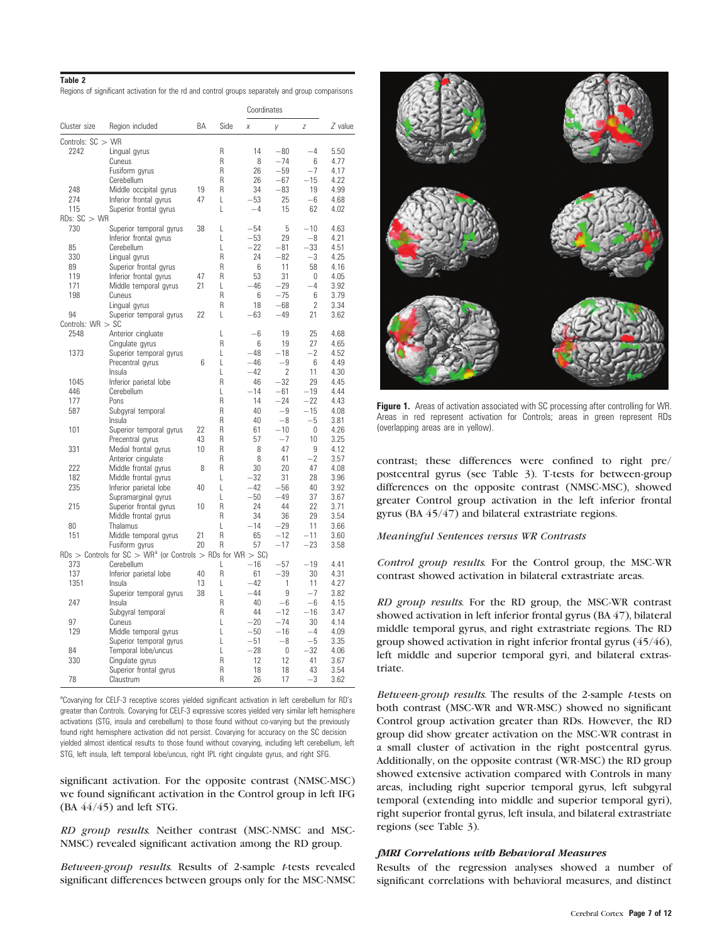Regions of significant activation for the rd and control groups separately and group comparisons

|                             |                                                                      |          |        | Coordinates    |                |                          |              |
|-----------------------------|----------------------------------------------------------------------|----------|--------|----------------|----------------|--------------------------|--------------|
| Cluster size                | Region included                                                      | BA       | Side   | X              | У              | Z                        | Z value      |
| Controls: $SC > WR$         |                                                                      |          |        |                |                |                          |              |
| 2242                        | Lingual gyrus                                                        |          | R      | 14             | $-80$          | $-4$                     | 5.50         |
|                             | Cuneus                                                               |          | R      | 8              | $-74$          | 6                        | 4.77         |
|                             | Fusiform gyrus                                                       |          | R      | 26             | $-59$          | $-7$                     | 4.17         |
|                             | Cerebellum                                                           |          | R      | 26             | $-67$          | $-15$                    | 4.22         |
| 248                         | Middle occipital gyrus                                               | 19       | R      | 34             | $-83$          | 19                       | 4.99         |
| 274<br>115                  | Inferior frontal gyrus<br>Superior frontal gyrus                     | 47       | L<br>L | $-53$<br>$-4$  | 25<br>15       | $-6$<br>62               | 4.68<br>4.02 |
| RDs: SC > WR                |                                                                      |          |        |                |                |                          |              |
| 730                         | Superior temporal gyrus                                              | 38       | L      | $-54$          | 5              | $-10$                    | 4.63         |
|                             | Inferior frontal gyrus                                               |          | L      | $-53$          | 29             | $-8$                     | 4.21         |
| 85                          | Cerebellum                                                           |          | L      | $-22$          | $-81$          | $-33$                    | 4.51         |
| 330                         | Lingual gyrus                                                        |          | R      | 24             | $-82$          | $-3$                     | 4.25         |
| 89                          | Superior frontal gyrus                                               |          | R      | 6              | 11             | 58                       | 4.16         |
| 119                         | Inferior frontal gyrus                                               | 47       | R      | 53             | 31             | 0                        | 4.05         |
| 171                         | Middle temporal gyrus                                                | 21       | L      | $-46$          | $-29$          | $-4$                     | 3.92         |
| 198                         | Cuneus                                                               |          | R      | 6              | $-75$          | 6                        | 3.79         |
|                             | Lingual gyrus                                                        |          | R      | 18             | $-68$          | $\overline{\phantom{a}}$ | 3.34         |
| 94                          | Superior temporal gyrus                                              | 22       | L      | $-63$          | $-49$          | 21                       | 3.62         |
| Controls: $WR > SC$<br>2548 |                                                                      |          | L      | $-6$           | 19             | 25                       | 4.68         |
|                             | Anterior cingluate<br>Cingulate gyrus                                |          | R      | 6              | 19             | 27                       | 4.65         |
| 1373                        | Superior temporal gyrus                                              |          | L      | $-48$          | $-18$          | -2                       | 4.52         |
|                             | Precentral gyrus                                                     | 6        | L      | $-46$          | $-9$           | 6                        | 4.49         |
|                             | Insula                                                               |          | L      | $-42$          | $\overline{2}$ | 11                       | 4.30         |
| 1045                        | Inferior parietal lobe                                               |          | R      | 46             | $-32$          | 29                       | 4.45         |
| 446                         | Cerebellum                                                           |          | L      | $-14$          | $-61$          | $-19$                    | 4.44         |
| 177                         | Pons                                                                 |          | R      | 14             | $-24$          | $-22$                    | 4.43         |
| 587                         | Subgyral temporal                                                    |          | R      | 40             | $-9$           | $-15$                    | 4.08         |
|                             | Insula                                                               |          | R      | 40             | $-8$           | $-5$                     | 3.81         |
| 101                         | Superior temporal gyrus                                              | 22       | R      | 61             | $-10$          | 0                        | 4.26         |
|                             | Precentral gyrus                                                     | 43       | R      | 57             | $-7$           | 10                       | 3.25         |
| 331                         | Medial frontal gyrus<br>Anterior cingulate                           | 10       | R<br>R | 8<br>8         | 47<br>41       | 9<br>$-2$                | 4.12<br>3.57 |
| 222                         | Middle frontal gyrus                                                 | 8        | R      | 30             | 20             | 47                       | 4.08         |
| 182                         | Middle frontal gyrus                                                 |          | L      | $-32$          | 31             | 28                       | 3.96         |
| 235                         | Inferior parietal lobe                                               | 40       | L      | $-42$          | $-56$          | 40                       | 3.92         |
|                             | Supramarginal gyrus                                                  |          | L      | $-50$          | $-49$          | 37                       | 3.67         |
| 215                         | Superior frontal gyrus                                               | 10       | R      | 24             | 44             | 22                       | 3.71         |
|                             | Middle frontal gyrus                                                 |          | R      | 34             | 36             | 29                       | 3.54         |
| 80                          | Thalamus                                                             |          | L      | $-14$          | $-29$          | 11                       | 3.66         |
| 151                         | Middle temporal gyrus                                                | 21       | R      | 65             | $-12$          | $-11$                    | 3.60         |
|                             | Fusiform gyrus                                                       | 20       | R      | 57             | $-17$          | $-23$                    | 3.58         |
|                             | $RDs >$ Controls for $SC > WRa$ (or Controls $> RDs$ for WR $> SC$ ) |          |        |                |                |                          |              |
| 373                         | Cerebellum                                                           |          | L      | $-16$          | $-57$          | $-19$                    | 4.41         |
| 137                         | Inferior parietal lobe                                               | 40<br>13 | R      | 61             | $-39$          | 30                       | 4.31         |
| 1351                        | Insula                                                               | 38       | L<br>L | $-42$<br>$-44$ | 1<br>9         | 11<br>$-7$               | 4.27<br>3.82 |
| 247                         | Superior temporal gyrus<br>Insula                                    |          | R      | 40             | $-6$           | $-6$                     | 4.15         |
|                             | Subgyral temporal                                                    |          | R      | 44             | $-12$          | $-16$                    | 3.47         |
| 97                          | Cuneus                                                               |          | L      | $-20$          | $-74$          | 30                       | 4.14         |
| 129                         | Middle temporal gyrus                                                |          | Г      | $-50$          | $-16$          | $-4$                     | 4.09         |
|                             | Superior temporal gyrus                                              |          | L      | $-51$          | $-8$           | $-5$                     | 3.35         |
| 84                          | Temporal lobe/uncus                                                  |          | L      | $-28$          | 0              | $-32$                    | 4.06         |
| 330                         | Cingulate gyrus                                                      |          | R      | 12             | 12             | 41                       | 3.67         |
|                             | Superior frontal gyrus                                               |          | R      | 18             | 18             | 43                       | 3.54         |
| 78                          | Claustrum                                                            |          | R      | 26             | 17             | $-3$                     | 3.62         |
|                             |                                                                      |          |        |                |                |                          |              |

<sup>a</sup>Covarying for CELF-3 receptive scores yielded significant activation in left cerebellum for RD's greater than Controls. Covarying for CELF-3 expressive scores yielded very similar left hemisphere activations (STG, insula and cerebellum) to those found without co-varying but the previously found right hemisphere activation did not persist. Covarying for accuracy on the SC decision yielded almost identical results to those found without covarying, including left cerebellum, left STG, left insula, left temporal lobe/uncus, right IPL right cingulate gyrus, and right SFG.

significant activation. For the opposite contrast (NMSC-MSC) we found significant activation in the Control group in left IFG  $(BA 44/45)$  and left STG.

RD group results. Neither contrast (MSC-NMSC and MSC-NMSC) revealed significant activation among the RD group.

Between-group results. Results of 2-sample t-tests revealed significant differences between groups only for the MSC-NMSC



Figure 1. Areas of activation associated with SC processing after controlling for WR. Areas in red represent activation for Controls; areas in green represent RDs (overlapping areas are in yellow).

contrast; these differences were confined to right pre/ postcentral gyrus (see Table 3). T-tests for between-group differences on the opposite contrast (NMSC-MSC), showed greater Control group activation in the left inferior frontal gyrus (BA 45/47) and bilateral extrastriate regions.

Meaningful Sentences versus WR Contrasts

Control group results. For the Control group, the MSC-WR contrast showed activation in bilateral extrastriate areas.

RD group results. For the RD group, the MSC-WR contrast showed activation in left inferior frontal gyrus (BA 47), bilateral middle temporal gyrus, and right extrastriate regions. The RD group showed activation in right inferior frontal gyrus (45/46), left middle and superior temporal gyri, and bilateral extrastriate.

Between-group results. The results of the 2-sample t-tests on both contrast (MSC-WR and WR-MSC) showed no significant Control group activation greater than RDs. However, the RD group did show greater activation on the MSC-WR contrast in a small cluster of activation in the right postcentral gyrus. Additionally, on the opposite contrast (WR-MSC) the RD group showed extensive activation compared with Controls in many areas, including right superior temporal gyrus, left subgyral temporal (extending into middle and superior temporal gyri), right superior frontal gyrus, left insula, and bilateral extrastriate regions (see Table 3).

# fMRI Correlations with Behavioral Measures

Results of the regression analyses showed a number of significant correlations with behavioral measures, and distinct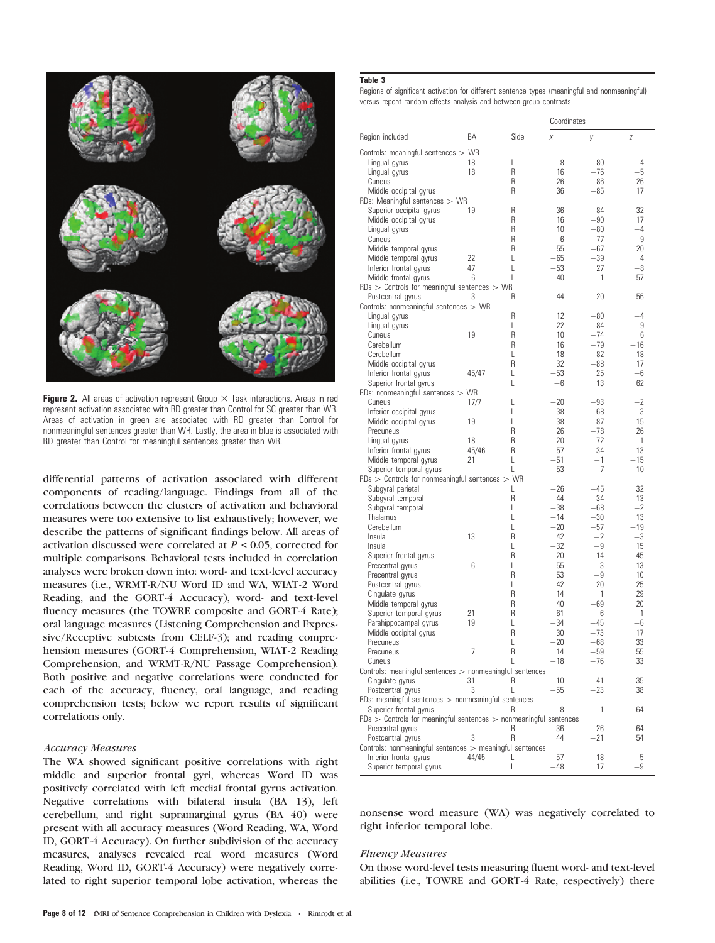

Figure 2. All areas of activation represent Group  $\times$  Task interactions. Areas in red represent activation associated with RD greater than Control for SC greater than WR. Areas of activation in green are associated with RD greater than Control for nonmeaningful sentences greater than WR. Lastly, the area in blue is associated with RD greater than Control for meaningful sentences greater than WR.

differential patterns of activation associated with different components of reading/language. Findings from all of the correlations between the clusters of activation and behavioral measures were too extensive to list exhaustively; however, we describe the patterns of significant findings below. All areas of activation discussed were correlated at  $P \leq 0.05$ , corrected for multiple comparisons. Behavioral tests included in correlation analyses were broken down into: word- and text-level accuracy measures (i.e., WRMT-R/NU Word ID and WA, WIAT-2 Word Reading, and the GORT-4 Accuracy), word- and text-level fluency measures (the TOWRE composite and GORT-4 Rate); oral language measures (Listening Comprehension and Expressive/Receptive subtests from CELF-3); and reading comprehension measures (GORT-4 Comprehension, WIAT-2 Reading Comprehension, and WRMT-R/NU Passage Comprehension). Both positive and negative correlations were conducted for each of the accuracy, fluency, oral language, and reading comprehension tests; below we report results of significant correlations only.

# Accuracy Measures

The WA showed significant positive correlations with right middle and superior frontal gyri, whereas Word ID was positively correlated with left medial frontal gyrus activation. Negative correlations with bilateral insula (BA 13), left cerebellum, and right supramarginal gyrus (BA 40) were present with all accuracy measures (Word Reading, WA, Word ID, GORT-4 Accuracy). On further subdivision of the accuracy measures, analyses revealed real word measures (Word Reading, Word ID, GORT-4 Accuracy) were negatively correlated to right superior temporal lobe activation, whereas the

#### Table 3

Regions of significant activation for different sentence types (meaningful and nonmeaningful) versus repeat random effects analysis and between-group contrasts

|                                                                             |       |        | Coordinates |             |             |
|-----------------------------------------------------------------------------|-------|--------|-------------|-------------|-------------|
| Region included                                                             | BA    | Side   | X           | У           | Z           |
| Controls: meaningful sentences > WR                                         |       |        |             |             |             |
| Lingual gyrus                                                               | 18    | L      | $-8$        | $-80$       | $-4$        |
| Lingual gyrus                                                               | 18    | R      | 16          | $-76$       | $-5$        |
| Cuneus                                                                      |       | R      | 26          | $-86$       | 26          |
| Middle occipital gyrus<br>RDs: Meaningful sentences > WR                    |       | R      | 36          | $-85$       | 17          |
| Superior occipital gyrus                                                    | 19    | R      | 36          | $-84$       | 32          |
| Middle occipital gyrus                                                      |       | R      | 16          | $-90$       | 17          |
| Lingual gyrus                                                               |       | R      | 10          | $-80$       | -4          |
| Cuneus                                                                      |       | R      | 6           | $-77$       | 9           |
| Middle temporal gyrus                                                       |       | R      | 55          | $-67$       | 20          |
| Middle temporal gyrus                                                       | 22    | L      | $-65$       | $-39$       | 4           |
| Inferior frontal gyrus                                                      | 47    | L      | $-53$       | 27          | $-8$        |
| Middle frontal gyrus                                                        | 6     | L      | $-40$       | $-1$        | 57          |
| $RDs >$ Controls for meaningful sentences $>$ WR<br>Postcentral gyrus       | 3     | R      | 44          | $-20$       | 56          |
| Controls: nonmeaningful sentences > WR                                      |       |        |             |             |             |
| Lingual gyrus                                                               |       | R      | 12          | $-80$       | -4          |
| Lingual gyrus                                                               |       | L      | $-22$       | $-84$       | $-9$        |
| Cuneus                                                                      | 19    | R      | 10          | $-74$       | 6           |
| Cerebellum                                                                  |       | R      | 16          | $-79$       | $-16$       |
| Cerebellum                                                                  |       | L      | $-18$       | $-82$       | $-18$       |
| Middle occipital gyrus                                                      |       | R      | 32          | $-88$       | 17          |
| Inferior frontal gyrus                                                      | 45/47 | L      | $-53$       | 25          | $-6$        |
| Superior frontal gyrus<br>RDs: nonmeaningful sentences $>$ WR               |       | L      | $-6$        | 13          | 62          |
| Cuneus                                                                      | 17/7  | L      | $-20$       | $-93$       | $-2$        |
| Inferior occipital gyrus                                                    |       | L      | $-38$       | $-68$       | $-3$        |
| Middle occipital gyrus                                                      | 19    | L      | $-38$       | $-87$       | 15          |
| Precuneus                                                                   |       | R      | 26          | $-78$       | 26          |
| Lingual gyrus                                                               | 18    | R      | 20          | $-72$       | $-1$        |
| Inferior frontal gyrus                                                      | 45/46 | R      | 57          | 34          | 13          |
| Middle temporal gyrus                                                       | 21    | L      | $-51$       | $-1$        | $-15$       |
| Superior temporal gyrus                                                     |       | L      | $-53$       | 7           | $-10$       |
| $RDs >$ Controls for nonmeaningful sentences $>$ WR                         |       |        |             | $-45$       |             |
| Subgyral parietal<br>Subgyral temporal                                      |       | L<br>R | $-26$<br>44 | $-34$       | 32<br>$-13$ |
| Subgyral temporal                                                           |       | L      | $-38$       | $-68$       | $-2$        |
| Thalamus                                                                    |       | L      | $-14$       | $-30$       | 13          |
| Cerebellum                                                                  |       | L      | $-20$       | $-57$       | $-19$       |
| Insula                                                                      | 13    | R      | 42          | $^{-2}$     | $-3$        |
| Insula                                                                      |       | L      | $-32$       | $-9$        | 15          |
| Superior frontal gyrus                                                      |       | R      | 20          | 14          | 45          |
| Precentral gyrus                                                            | 6     | L      | $-55$       | $-3$        | 13          |
| Precentral gyrus<br>Postcentral gyrus                                       |       | R<br>L | 53<br>$-42$ | -9<br>$-20$ | 10<br>25    |
| Cingulate gyrus                                                             |       | R      | 14          | 1           | 29          |
| Middle temporal gyrus                                                       |       | R      | 40          | $-69$       | 20          |
| Superior temporal gyrus                                                     | 21    | R      | 61          | $-6$        | $-1$        |
| Parahippocampal gyrus                                                       | 19    | L      | $-34$       | $-45$       | $-6$        |
| Middle occipital gyrus                                                      |       | R      | 30          | $-73$       | 17          |
| Precuneus                                                                   |       | L      | $-20$       | $-68$       | 33          |
| Precuneus                                                                   | 7     | R      | 14          | $-59$       | 55          |
| Cuneus                                                                      |       | L      | $-18$       | -76         | 33          |
| Controls: meaningful sentences > nonmeaningful sentences<br>Cingulate gyrus | 31    | R      | 10          | $-41$       | 35          |
| Postcentral gyrus                                                           | 3     | L      | $-55$       | -23         | 38          |
| RDs: meaningful sentences $>$ nonmeaningful sentences                       |       |        |             |             |             |
| Superior frontal gyrus                                                      |       | R      | 8           | 1           | 64          |
| $RDs >$ Controls for meaningful sentences $>$ nonmeaningful sentences       |       |        |             |             |             |
| Precentral gyrus                                                            |       | R      | 36          | $-26$       | 64          |
| Postcentral gyrus                                                           | 3     | R      | 44          | $-21$       | 54          |
| Controls: nonmeaningful sentences > meaningful sentences                    |       |        |             |             |             |
| Inferior frontal gyrus                                                      | 44/45 | L      | $-57$       | 18          | 5           |
| Superior temporal gyrus                                                     |       | L      | $-48$       | 17          | -9          |

nonsense word measure (WA) was negatively correlated to right inferior temporal lobe.

## Fluency Measures

On those word-level tests measuring fluent word- and text-level abilities (i.e., TOWRE and GORT-4 Rate, respectively) there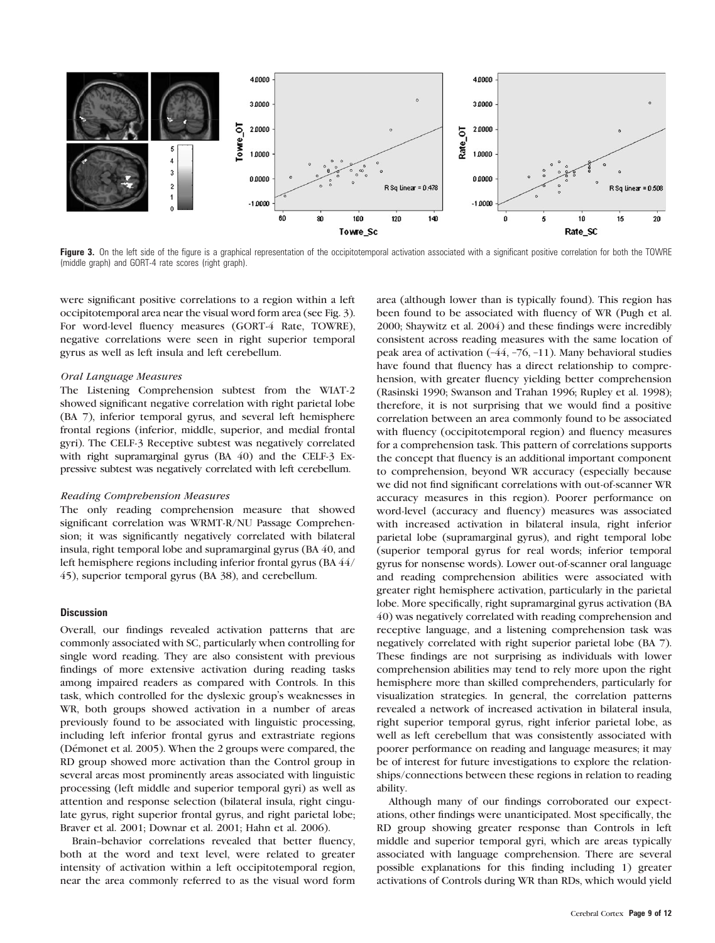

Figure 3. On the left side of the figure is a graphical representation of the occipitotemporal activation associated with a significant positive correlation for both the TOWRE (middle graph) and GORT-4 rate scores (right graph).

were significant positive correlations to a region within a left occipitotemporal area near the visual word form area (see Fig. 3). For word-level fluency measures (GORT-4 Rate, TOWRE), negative correlations were seen in right superior temporal gyrus as well as left insula and left cerebellum.

# Oral Language Measures

The Listening Comprehension subtest from the WIAT-2 showed significant negative correlation with right parietal lobe (BA 7), inferior temporal gyrus, and several left hemisphere frontal regions (inferior, middle, superior, and medial frontal gyri). The CELF-3 Receptive subtest was negatively correlated with right supramarginal gyrus (BA 40) and the CELF-3 Expressive subtest was negatively correlated with left cerebellum.

## Reading Comprehension Measures

The only reading comprehension measure that showed significant correlation was WRMT-R/NU Passage Comprehension; it was significantly negatively correlated with bilateral insula, right temporal lobe and supramarginal gyrus (BA 40, and left hemisphere regions including inferior frontal gyrus (BA 44/ 45), superior temporal gyrus (BA 38), and cerebellum.

# **Discussion**

Overall, our findings revealed activation patterns that are commonly associated with SC, particularly when controlling for single word reading. They are also consistent with previous findings of more extensive activation during reading tasks among impaired readers as compared with Controls. In this task, which controlled for the dyslexic group's weaknesses in WR, both groups showed activation in a number of areas previously found to be associated with linguistic processing, including left inferior frontal gyrus and extrastriate regions (Démonet et al. 2005). When the 2 groups were compared, the RD group showed more activation than the Control group in several areas most prominently areas associated with linguistic processing (left middle and superior temporal gyri) as well as attention and response selection (bilateral insula, right cingulate gyrus, right superior frontal gyrus, and right parietal lobe; Braver et al. 2001; Downar et al. 2001; Hahn et al. 2006).

Brain--behavior correlations revealed that better fluency, both at the word and text level, were related to greater intensity of activation within a left occipitotemporal region, near the area commonly referred to as the visual word form

area (although lower than is typically found). This region has been found to be associated with fluency of WR (Pugh et al. 2000; Shaywitz et al. 2004) and these findings were incredibly consistent across reading measures with the same location of peak area of activation (–44, –76, –11). Many behavioral studies have found that fluency has a direct relationship to comprehension, with greater fluency yielding better comprehension (Rasinski 1990; Swanson and Trahan 1996; Rupley et al. 1998); therefore, it is not surprising that we would find a positive correlation between an area commonly found to be associated with fluency (occipitotemporal region) and fluency measures for a comprehension task. This pattern of correlations supports the concept that fluency is an additional important component to comprehension, beyond WR accuracy (especially because we did not find significant correlations with out-of-scanner WR accuracy measures in this region). Poorer performance on word-level (accuracy and fluency) measures was associated with increased activation in bilateral insula, right inferior parietal lobe (supramarginal gyrus), and right temporal lobe (superior temporal gyrus for real words; inferior temporal gyrus for nonsense words). Lower out-of-scanner oral language and reading comprehension abilities were associated with greater right hemisphere activation, particularly in the parietal lobe. More specifically, right supramarginal gyrus activation (BA 40) was negatively correlated with reading comprehension and receptive language, and a listening comprehension task was negatively correlated with right superior parietal lobe (BA 7). These findings are not surprising as individuals with lower comprehension abilities may tend to rely more upon the right hemisphere more than skilled comprehenders, particularly for visualization strategies. In general, the correlation patterns revealed a network of increased activation in bilateral insula, right superior temporal gyrus, right inferior parietal lobe, as well as left cerebellum that was consistently associated with poorer performance on reading and language measures; it may be of interest for future investigations to explore the relationships/connections between these regions in relation to reading ability.

Although many of our findings corroborated our expectations, other findings were unanticipated. Most specifically, the RD group showing greater response than Controls in left middle and superior temporal gyri, which are areas typically associated with language comprehension. There are several possible explanations for this finding including 1) greater activations of Controls during WR than RDs, which would yield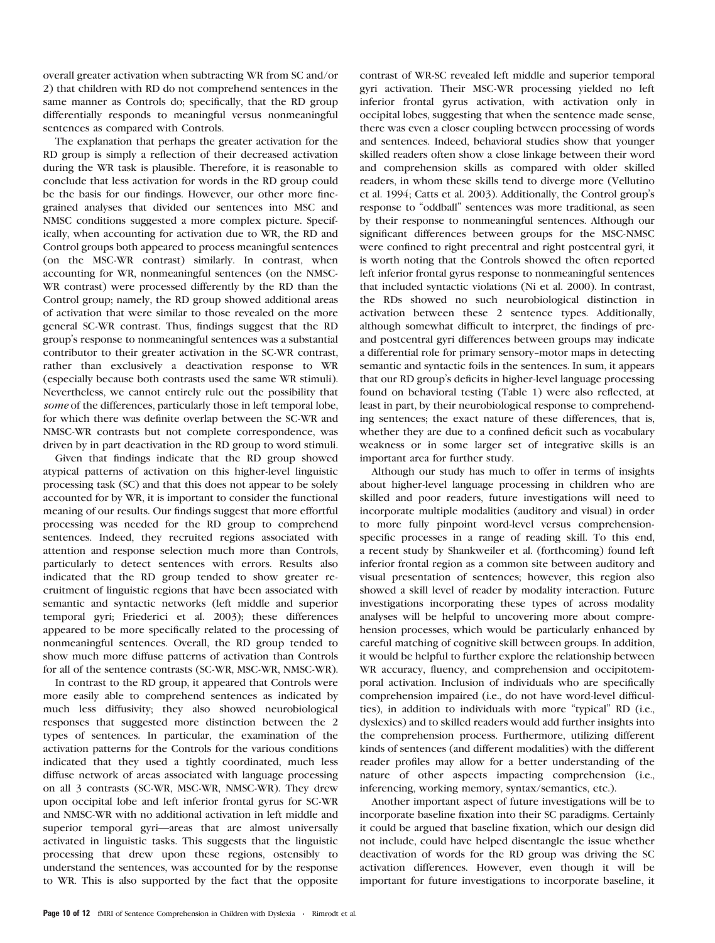overall greater activation when subtracting WR from SC and/or 2) that children with RD do not comprehend sentences in the same manner as Controls do; specifically, that the RD group differentially responds to meaningful versus nonmeaningful sentences as compared with Controls.

The explanation that perhaps the greater activation for the RD group is simply a reflection of their decreased activation during the WR task is plausible. Therefore, it is reasonable to conclude that less activation for words in the RD group could be the basis for our findings. However, our other more finegrained analyses that divided our sentences into MSC and NMSC conditions suggested a more complex picture. Specifically, when accounting for activation due to WR, the RD and Control groups both appeared to process meaningful sentences (on the MSC-WR contrast) similarly. In contrast, when accounting for WR, nonmeaningful sentences (on the NMSC-WR contrast) were processed differently by the RD than the Control group; namely, the RD group showed additional areas of activation that were similar to those revealed on the more general SC-WR contrast. Thus, findings suggest that the RD group's response to nonmeaningful sentences was a substantial contributor to their greater activation in the SC-WR contrast, rather than exclusively a deactivation response to WR (especially because both contrasts used the same WR stimuli). Nevertheless, we cannot entirely rule out the possibility that some of the differences, particularly those in left temporal lobe, for which there was definite overlap between the SC-WR and NMSC-WR contrasts but not complete correspondence, was driven by in part deactivation in the RD group to word stimuli.

Given that findings indicate that the RD group showed atypical patterns of activation on this higher-level linguistic processing task (SC) and that this does not appear to be solely accounted for by WR, it is important to consider the functional meaning of our results. Our findings suggest that more effortful processing was needed for the RD group to comprehend sentences. Indeed, they recruited regions associated with attention and response selection much more than Controls, particularly to detect sentences with errors. Results also indicated that the RD group tended to show greater recruitment of linguistic regions that have been associated with semantic and syntactic networks (left middle and superior temporal gyri; Friederici et al. 2003); these differences appeared to be more specifically related to the processing of nonmeaningful sentences. Overall, the RD group tended to show much more diffuse patterns of activation than Controls for all of the sentence contrasts (SC-WR, MSC-WR, NMSC-WR).

In contrast to the RD group, it appeared that Controls were more easily able to comprehend sentences as indicated by much less diffusivity; they also showed neurobiological responses that suggested more distinction between the 2 types of sentences. In particular, the examination of the activation patterns for the Controls for the various conditions indicated that they used a tightly coordinated, much less diffuse network of areas associated with language processing on all 3 contrasts (SC-WR, MSC-WR, NMSC-WR). They drew upon occipital lobe and left inferior frontal gyrus for SC-WR and NMSC-WR with no additional activation in left middle and superior temporal gyri—areas that are almost universally activated in linguistic tasks. This suggests that the linguistic processing that drew upon these regions, ostensibly to understand the sentences, was accounted for by the response to WR. This is also supported by the fact that the opposite

contrast of WR-SC revealed left middle and superior temporal gyri activation. Their MSC-WR processing yielded no left inferior frontal gyrus activation, with activation only in occipital lobes, suggesting that when the sentence made sense, there was even a closer coupling between processing of words and sentences. Indeed, behavioral studies show that younger skilled readers often show a close linkage between their word and comprehension skills as compared with older skilled readers, in whom these skills tend to diverge more (Vellutino et al. 1994; Catts et al. 2003). Additionally, the Control group's response to ''oddball'' sentences was more traditional, as seen by their response to nonmeaningful sentences. Although our significant differences between groups for the MSC-NMSC were confined to right precentral and right postcentral gyri, it is worth noting that the Controls showed the often reported left inferior frontal gyrus response to nonmeaningful sentences that included syntactic violations (Ni et al. 2000). In contrast, the RDs showed no such neurobiological distinction in activation between these 2 sentence types. Additionally, although somewhat difficult to interpret, the findings of preand postcentral gyri differences between groups may indicate a differential role for primary sensory--motor maps in detecting semantic and syntactic foils in the sentences. In sum, it appears that our RD group's deficits in higher-level language processing found on behavioral testing (Table 1) were also reflected, at least in part, by their neurobiological response to comprehending sentences; the exact nature of these differences, that is, whether they are due to a confined deficit such as vocabulary weakness or in some larger set of integrative skills is an important area for further study.

Although our study has much to offer in terms of insights about higher-level language processing in children who are skilled and poor readers, future investigations will need to incorporate multiple modalities (auditory and visual) in order to more fully pinpoint word-level versus comprehensionspecific processes in a range of reading skill. To this end, a recent study by Shankweiler et al. (forthcoming) found left inferior frontal region as a common site between auditory and visual presentation of sentences; however, this region also showed a skill level of reader by modality interaction. Future investigations incorporating these types of across modality analyses will be helpful to uncovering more about comprehension processes, which would be particularly enhanced by careful matching of cognitive skill between groups. In addition, it would be helpful to further explore the relationship between WR accuracy, fluency, and comprehension and occipitotemporal activation. Inclusion of individuals who are specifically comprehension impaired (i.e., do not have word-level difficulties), in addition to individuals with more ''typical'' RD (i.e., dyslexics) and to skilled readers would add further insights into the comprehension process. Furthermore, utilizing different kinds of sentences (and different modalities) with the different reader profiles may allow for a better understanding of the nature of other aspects impacting comprehension (i.e., inferencing, working memory, syntax/semantics, etc.).

Another important aspect of future investigations will be to incorporate baseline fixation into their SC paradigms. Certainly it could be argued that baseline fixation, which our design did not include, could have helped disentangle the issue whether deactivation of words for the RD group was driving the SC activation differences. However, even though it will be important for future investigations to incorporate baseline, it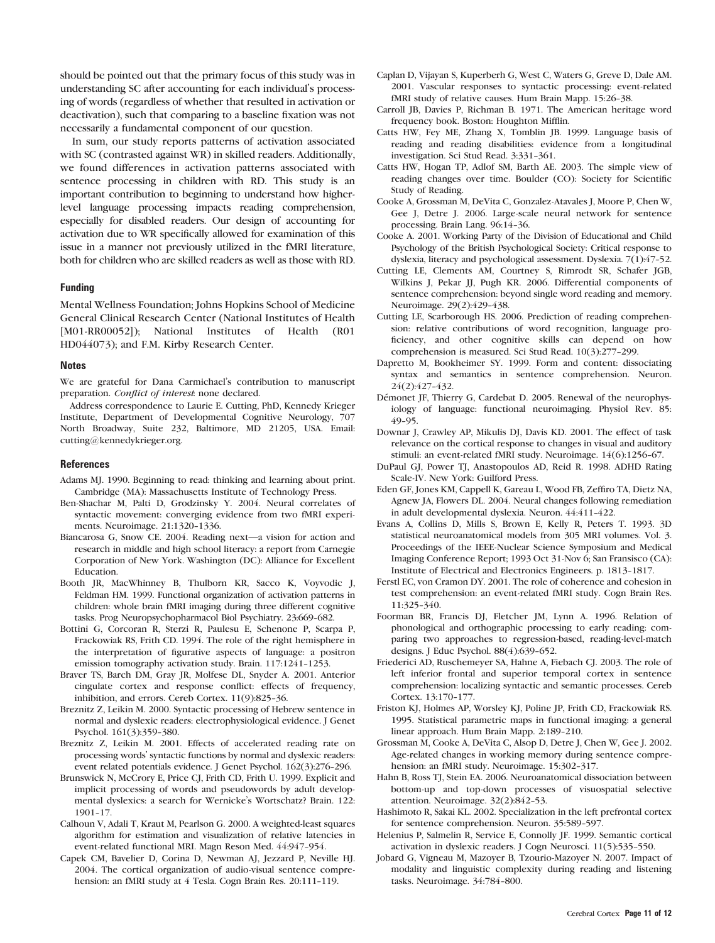should be pointed out that the primary focus of this study was in understanding SC after accounting for each individual's processing of words (regardless of whether that resulted in activation or deactivation), such that comparing to a baseline fixation was not necessarily a fundamental component of our question.

In sum, our study reports patterns of activation associated with SC (contrasted against WR) in skilled readers. Additionally, we found differences in activation patterns associated with sentence processing in children with RD. This study is an important contribution to beginning to understand how higherlevel language processing impacts reading comprehension, especially for disabled readers. Our design of accounting for activation due to WR specifically allowed for examination of this issue in a manner not previously utilized in the fMRI literature, both for children who are skilled readers as well as those with RD.

## Funding

Mental Wellness Foundation; Johns Hopkins School of Medicine General Clinical Research Center (National Institutes of Health [M01-RR00052]); National Institutes of Health (R01 HD044073); and F.M. Kirby Research Center.

## **Notes**

We are grateful for Dana Carmichael's contribution to manuscript preparation. Conflict of interest: none declared.

Address correspondence to Laurie E. Cutting, PhD, Kennedy Krieger Institute, Department of Developmental Cognitive Neurology, 707 North Broadway, Suite 232, Baltimore, MD 21205, USA. Email: cutting@kennedykrieger.org.

## **References**

- Adams MJ. 1990. Beginning to read: thinking and learning about print. Cambridge (MA): Massachusetts Institute of Technology Press.
- Ben-Shachar M, Palti D, Grodzinsky Y. 2004. Neural correlates of syntactic movement: converging evidence from two fMRI experiments. Neuroimage. 21:1320-1336.
- Biancarosa G, Snow CE. 2004. Reading next—a vision for action and research in middle and high school literacy: a report from Carnegie Corporation of New York. Washington (DC): Alliance for Excellent Education.
- Booth JR, MacWhinney B, Thulborn KR, Sacco K, Voyvodic J, Feldman HM. 1999. Functional organization of activation patterns in children: whole brain fMRI imaging during three different cognitive tasks. Prog Neuropsychopharmacol Biol Psychiatry. 23:669-682.
- Bottini G, Corcoran R, Sterzi R, Paulesu E, Schenone P, Scarpa P, Frackowiak RS, Frith CD. 1994. The role of the right hemisphere in the interpretation of figurative aspects of language: a positron emission tomography activation study. Brain. 117:1241-1253.
- Braver TS, Barch DM, Gray JR, Molfese DL, Snyder A. 2001. Anterior cingulate cortex and response conflict: effects of frequency, inhibition, and errors. Cereb Cortex. 11(9):825-36.
- Breznitz Z, Leikin M. 2000. Syntactic processing of Hebrew sentence in normal and dyslexic readers: electrophysiological evidence. J Genet Psychol. 161(3):359-380.
- Breznitz Z, Leikin M. 2001. Effects of accelerated reading rate on processing words' syntactic functions by normal and dyslexic readers: event related potentials evidence. J Genet Psychol. 162(3):276-296.
- Brunswick N, McCrory E, Price CJ, Frith CD, Frith U. 1999. Explicit and implicit processing of words and pseudowords by adult developmental dyslexics: a search for Wernicke's Wortschatz? Brain. 122: 1901-17.
- Calhoun V, Adali T, Kraut M, Pearlson G. 2000. A weighted-least squares algorithm for estimation and visualization of relative latencies in event-related functional MRI. Magn Reson Med. 44:947-954.
- Capek CM, Bavelier D, Corina D, Newman AJ, Jezzard P, Neville HJ. 2004. The cortical organization of audio-visual sentence comprehension: an fMRI study at 4 Tesla. Cogn Brain Res. 20:111-119.
- Caplan D, Vijayan S, Kuperberh G, West C, Waters G, Greve D, Dale AM. 2001. Vascular responses to syntactic processing: event-related fMRI study of relative causes. Hum Brain Mapp. 15:26-38.
- Carroll JB, Davies P, Richman B. 1971. The American heritage word frequency book. Boston: Houghton Mifflin.
- Catts HW, Fey ME, Zhang X, Tomblin JB. 1999. Language basis of reading and reading disabilities: evidence from a longitudinal investigation. Sci Stud Read. 3:331-361.
- Catts HW, Hogan TP, Adlof SM, Barth AE. 2003. The simple view of reading changes over time. Boulder (CO): Society for Scientific Study of Reading.
- Cooke A, Grossman M, DeVita C, Gonzalez-Atavales J, Moore P, Chen W, Gee J, Detre J. 2006. Large-scale neural network for sentence processing. Brain Lang. 96:14-36.
- Cooke A. 2001. Working Party of the Division of Educational and Child Psychology of the British Psychological Society: Critical response to dyslexia, literacy and psychological assessment. Dyslexia. 7(1):47-52.
- Cutting LE, Clements AM, Courtney S, Rimrodt SR, Schafer JGB, Wilkins J, Pekar JJ, Pugh KR. 2006. Differential components of sentence comprehension: beyond single word reading and memory. Neuroimage. 29(2):429-438.
- Cutting LE, Scarborough HS. 2006. Prediction of reading comprehension: relative contributions of word recognition, language proficiency, and other cognitive skills can depend on how comprehension is measured. Sci Stud Read. 10(3):277-299.
- Dapretto M, Bookheimer SY. 1999. Form and content: dissociating syntax and semantics in sentence comprehension. Neuron. 24(2):427-432.
- Démonet JF, Thierry G, Cardebat D. 2005. Renewal of the neurophysiology of language: functional neuroimaging. Physiol Rev. 85: 49-95.
- Downar J, Crawley AP, Mikulis DJ, Davis KD. 2001. The effect of task relevance on the cortical response to changes in visual and auditory stimuli: an event-related fMRI study. Neuroimage. 14(6):1256-67.
- DuPaul GJ, Power TJ, Anastopoulos AD, Reid R. 1998. ADHD Rating Scale-IV. New York: Guilford Press.
- Eden GF, Jones KM, Cappell K, Gareau L, Wood FB, Zeffiro TA, Dietz NA, Agnew JA, Flowers DL. 2004. Neural changes following remediation in adult developmental dyslexia. Neuron. 44:411-422.
- Evans A, Collins D, Mills S, Brown E, Kelly R, Peters T. 1993. 3D statistical neuroanatomical models from 305 MRI volumes. Vol. 3. Proceedings of the IEEE-Nuclear Science Symposium and Medical Imaging Conference Report; 1993 Oct 31-Nov 6; San Fransisco (CA): Institute of Electrical and Electronics Engineers. p. 1813--1817.
- Ferstl EC, von Cramon DY. 2001. The role of coherence and cohesion in test comprehension: an event-related fMRI study. Cogn Brain Res. 11:325-340.
- Foorman BR, Francis DJ, Fletcher JM, Lynn A. 1996. Relation of phonological and orthographic processing to early reading: comparing two approaches to regression-based, reading-level-match designs. J Educ Psychol. 88(4):639-652.
- Friederici AD, Ruschemeyer SA, Hahne A, Fiebach CJ. 2003. The role of left inferior frontal and superior temporal cortex in sentence comprehension: localizing syntactic and semantic processes. Cereb Cortex. 13:170-177.
- Friston KJ, Holmes AP, Worsley KJ, Poline JP, Frith CD, Frackowiak RS. 1995. Statistical parametric maps in functional imaging: a general linear approach. Hum Brain Mapp. 2:189-210.
- Grossman M, Cooke A, DeVita C, Alsop D, Detre J, Chen W, Gee J. 2002. Age-related changes in working memory during sentence comprehension: an fMRI study. Neuroimage. 15:302-317.
- Hahn B, Ross TJ, Stein EA. 2006. Neuroanatomical dissociation between bottom-up and top-down processes of visuospatial selective attention. Neuroimage. 32(2):842-53.
- Hashimoto R, Sakai KL. 2002. Specialization in the left prefrontal cortex for sentence comprehension. Neuron. 35:589-597.
- Helenius P, Salmelin R, Service E, Connolly JF. 1999. Semantic cortical activation in dyslexic readers. J Cogn Neurosci. 11(5):535-550.
- Jobard G, Vigneau M, Mazoyer B, Tzourio-Mazoyer N. 2007. Impact of modality and linguistic complexity during reading and listening tasks. Neuroimage. 34:784-800.